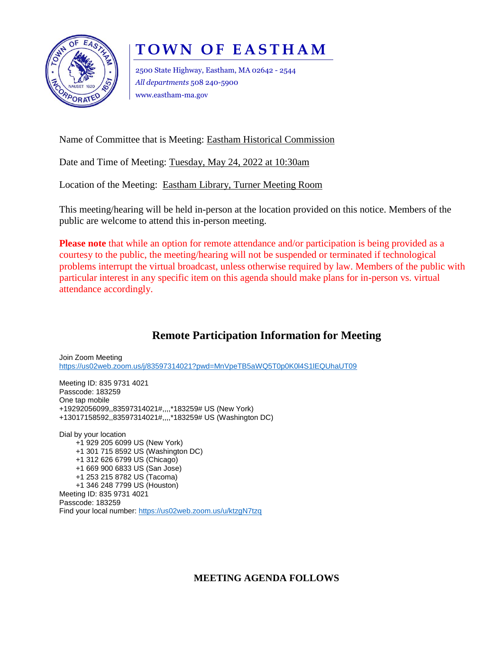

## **T O W N O F E A S T H A M**

2500 State Highway, Eastham, MA 02642 - 2544 *All departments* 508 240-5900 www.eastham-ma.gov

Name of Committee that is Meeting: Eastham Historical Commission

Date and Time of Meeting: Tuesday, May 24, 2022 at 10:30am

Location of the Meeting: Eastham Library, Turner Meeting Room

This meeting/hearing will be held in-person at the location provided on this notice. Members of the public are welcome to attend this in-person meeting.

**Please note** that while an option for remote attendance and/or participation is being provided as a courtesy to the public, the meeting/hearing will not be suspended or terminated if technological problems interrupt the virtual broadcast, unless otherwise required by law. Members of the public with particular interest in any specific item on this agenda should make plans for in-person vs. virtual attendance accordingly.

## **Remote Participation Information for Meeting**

Join Zoom Meeting <https://us02web.zoom.us/j/83597314021?pwd=MnVpeTB5aWQ5T0p0K0l4S1lEQUhaUT09>

Meeting ID: 835 9731 4021 Passcode: 183259 One tap mobile +19292056099,,83597314021#,,,,\*183259# US (New York) +13017158592,,83597314021#,,,,\*183259# US (Washington DC)

Dial by your location +1 929 205 6099 US (New York) +1 301 715 8592 US (Washington DC) +1 312 626 6799 US (Chicago) +1 669 900 6833 US (San Jose) +1 253 215 8782 US (Tacoma) +1 346 248 7799 US (Houston) Meeting ID: 835 9731 4021 Passcode: 183259 Find your local number: <https://us02web.zoom.us/u/ktzgN7tzq>

**MEETING AGENDA FOLLOWS**